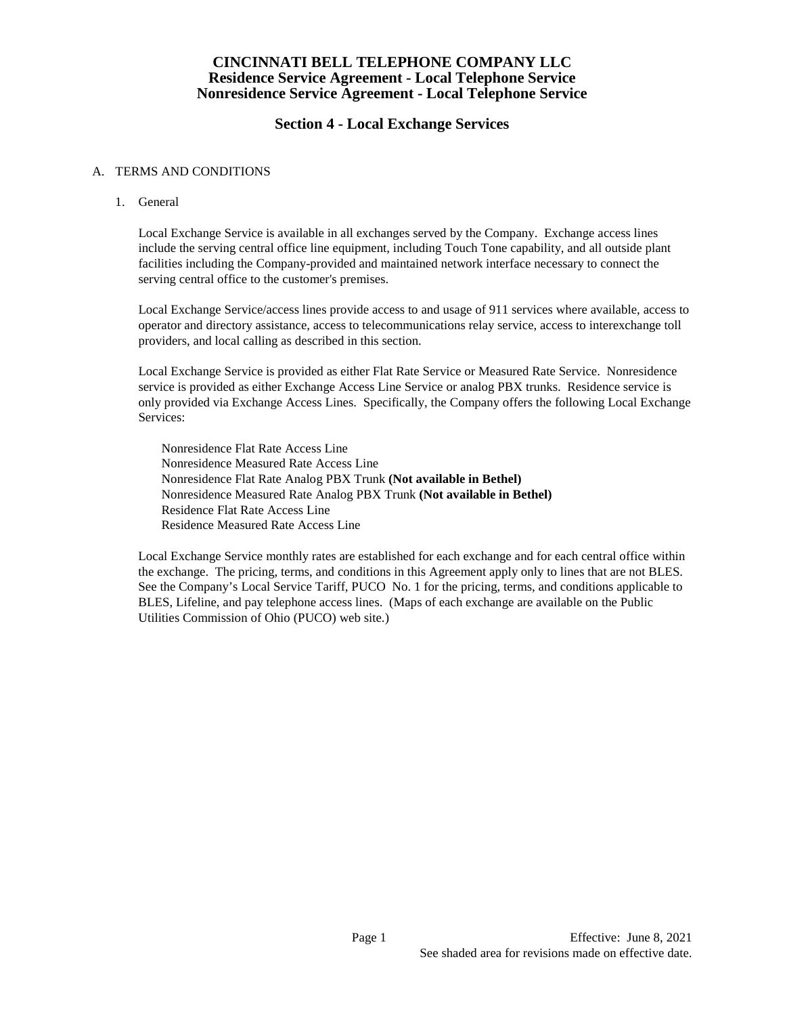## **Section 4 - Local Exchange Services**

### A. TERMS AND CONDITIONS

1. General

Local Exchange Service is available in all exchanges served by the Company. Exchange access lines include the serving central office line equipment, including Touch Tone capability, and all outside plant facilities including the Company-provided and maintained network interface necessary to connect the serving central office to the customer's premises.

Local Exchange Service/access lines provide access to and usage of 911 services where available, access to operator and directory assistance, access to telecommunications relay service, access to interexchange toll providers, and local calling as described in this section.

Local Exchange Service is provided as either Flat Rate Service or Measured Rate Service. Nonresidence service is provided as either Exchange Access Line Service or analog PBX trunks. Residence service is only provided via Exchange Access Lines. Specifically, the Company offers the following Local Exchange Services:

Nonresidence Flat Rate Access Line Nonresidence Measured Rate Access Line Nonresidence Flat Rate Analog PBX Trunk **(Not available in Bethel)** Nonresidence Measured Rate Analog PBX Trunk **(Not available in Bethel)** Residence Flat Rate Access Line Residence Measured Rate Access Line

 Local Exchange Service monthly rates are established for each exchange and for each central office within the exchange. The pricing, terms, and conditions in this Agreement apply only to lines that are not BLES. See the Company's Local Service Tariff, PUCO No. 1 for the pricing, terms, and conditions applicable to BLES, Lifeline, and pay telephone access lines. (Maps of each exchange are available on the Public Utilities Commission of Ohio (PUCO) web site.)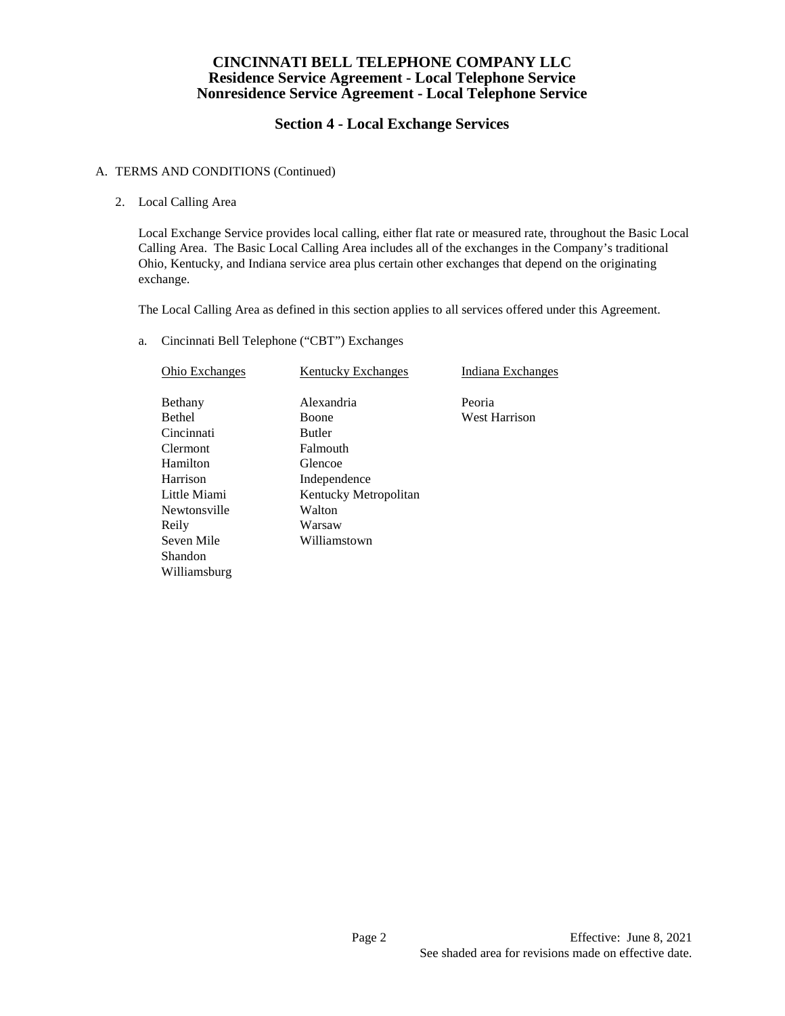# **Section 4 - Local Exchange Services**

### A. TERMS AND CONDITIONS (Continued)

2. Local Calling Area

Local Exchange Service provides local calling, either flat rate or measured rate, throughout the Basic Local Calling Area. The Basic Local Calling Area includes all of the exchanges in the Company's traditional Ohio, Kentucky, and Indiana service area plus certain other exchanges that depend on the originating exchange.

The Local Calling Area as defined in this section applies to all services offered under this Agreement.

a. Cincinnati Bell Telephone ("CBT") Exchanges

| Ohio Exchanges  | <b>Kentucky Exchanges</b> | Indiana Exchanges    |
|-----------------|---------------------------|----------------------|
| Bethany         | Alexandria                | Peoria               |
| <b>Bethel</b>   | <b>Boone</b>              | <b>West Harrison</b> |
| Cincinnati      | <b>Butler</b>             |                      |
| <b>Clermont</b> | Falmouth                  |                      |
| Hamilton        | Glencoe                   |                      |
| Harrison        | Independence              |                      |
| Little Miami    | Kentucky Metropolitan     |                      |
| Newtonsville    | Walton                    |                      |
| Reily           | Warsaw                    |                      |
| Seven Mile      | Williamstown              |                      |
| Shandon         |                           |                      |
| Williamsburg    |                           |                      |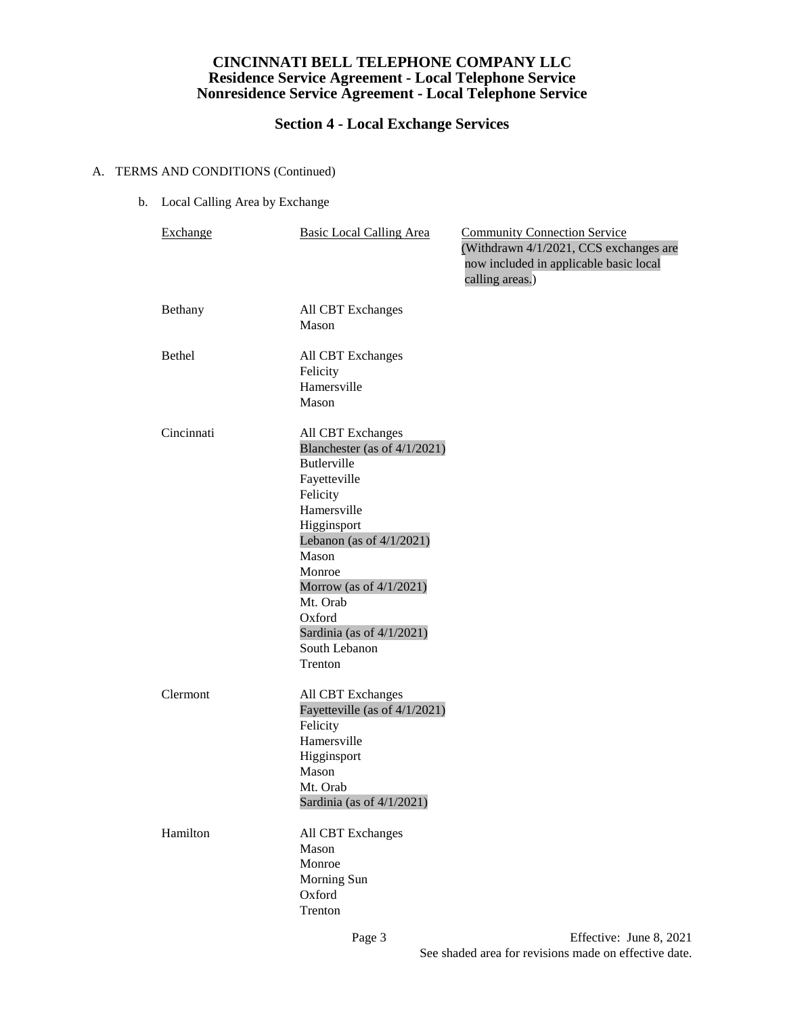# **Section 4 - Local Exchange Services**

## A. TERMS AND CONDITIONS (Continued)

b. Local Calling Area by Exchange

| <b>Exchange</b> | <b>Basic Local Calling Area</b>                                                                                                                                                                                                                                                                     | <b>Community Connection Service</b><br>(Withdrawn 4/1/2021, CCS exchanges are<br>now included in applicable basic local<br>calling areas.) |
|-----------------|-----------------------------------------------------------------------------------------------------------------------------------------------------------------------------------------------------------------------------------------------------------------------------------------------------|--------------------------------------------------------------------------------------------------------------------------------------------|
| Bethany         | All CBT Exchanges<br>Mason                                                                                                                                                                                                                                                                          |                                                                                                                                            |
| <b>Bethel</b>   | All CBT Exchanges<br>Felicity<br>Hamersville<br>Mason                                                                                                                                                                                                                                               |                                                                                                                                            |
| Cincinnati      | All CBT Exchanges<br>Blanchester (as of 4/1/2021)<br><b>Butlerville</b><br>Fayetteville<br>Felicity<br>Hamersville<br>Higginsport<br>Lebanon (as of $4/1/2021$ )<br>Mason<br>Monroe<br>Morrow (as of $4/1/2021$ )<br>Mt. Orab<br>Oxford<br>Sardinia (as of $4/1/2021$ )<br>South Lebanon<br>Trenton |                                                                                                                                            |
| Clermont        | All CBT Exchanges<br>Fayetteville (as of 4/1/2021)<br>Felicity<br>Hamersville<br>Higginsport<br>Mason<br>Mt. Orab<br>Sardinia (as of 4/1/2021)                                                                                                                                                      |                                                                                                                                            |
| Hamilton        | All CBT Exchanges<br>Mason<br>Monroe<br>Morning Sun<br>Oxford<br>Trenton                                                                                                                                                                                                                            |                                                                                                                                            |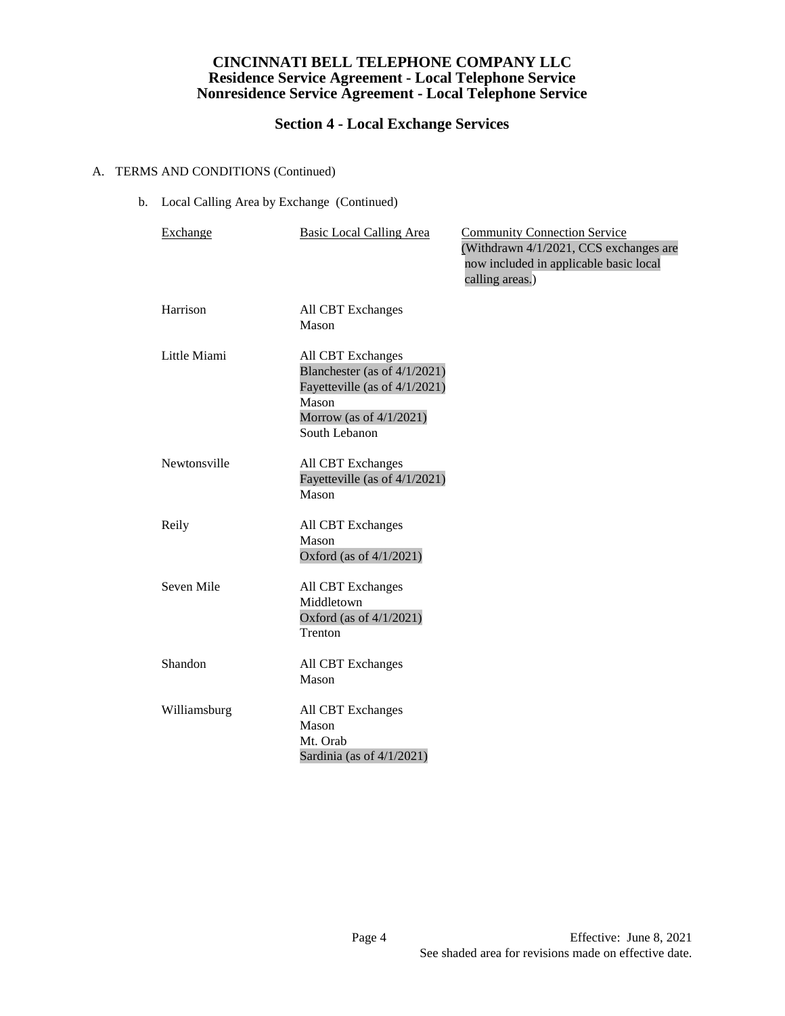# **Section 4 - Local Exchange Services**

## A. TERMS AND CONDITIONS (Continued)

b. Local Calling Area by Exchange (Continued)

| Exchange     | <b>Basic Local Calling Area</b>                                                                                                               | <b>Community Connection Service</b><br>(Withdrawn 4/1/2021, CCS exchanges are<br>now included in applicable basic local<br>calling areas.) |
|--------------|-----------------------------------------------------------------------------------------------------------------------------------------------|--------------------------------------------------------------------------------------------------------------------------------------------|
| Harrison     | All CBT Exchanges<br>Mason                                                                                                                    |                                                                                                                                            |
| Little Miami | All CBT Exchanges<br>Blanchester (as of $4/1/2021$ )<br>Fayetteville (as of 4/1/2021)<br>Mason<br>Morrow (as of $4/1/2021$ )<br>South Lebanon |                                                                                                                                            |
| Newtonsville | All CBT Exchanges<br>Fayetteville (as of 4/1/2021)<br>Mason                                                                                   |                                                                                                                                            |
| Reily        | All CBT Exchanges<br>Mason<br>Oxford (as of 4/1/2021)                                                                                         |                                                                                                                                            |
| Seven Mile   | All CBT Exchanges<br>Middletown<br>Oxford (as of 4/1/2021)<br>Trenton                                                                         |                                                                                                                                            |
| Shandon      | All CBT Exchanges<br>Mason                                                                                                                    |                                                                                                                                            |
| Williamsburg | All CBT Exchanges<br>Mason<br>Mt. Orab<br>Sardinia (as of $4/1/2021$ )                                                                        |                                                                                                                                            |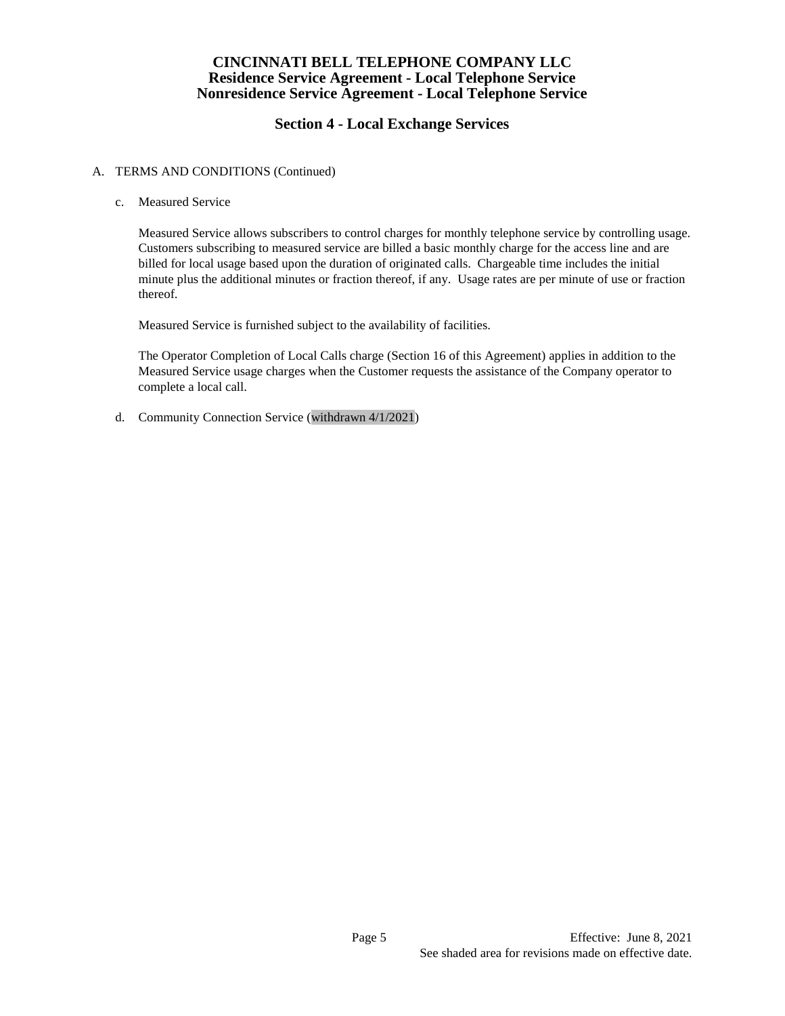# **Section 4 - Local Exchange Services**

### A. TERMS AND CONDITIONS (Continued)

c. Measured Service

Measured Service allows subscribers to control charges for monthly telephone service by controlling usage. Customers subscribing to measured service are billed a basic monthly charge for the access line and are billed for local usage based upon the duration of originated calls. Chargeable time includes the initial minute plus the additional minutes or fraction thereof, if any. Usage rates are per minute of use or fraction thereof.

Measured Service is furnished subject to the availability of facilities.

The Operator Completion of Local Calls charge (Section 16 of this Agreement) applies in addition to the Measured Service usage charges when the Customer requests the assistance of the Company operator to complete a local call.

d. Community Connection Service (withdrawn 4/1/2021)